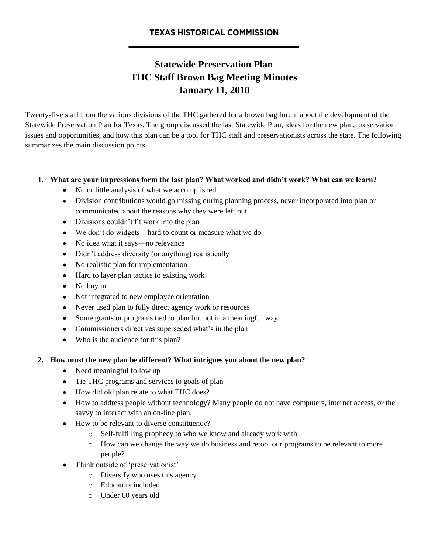# **Statewide Preservation Plan THC Staff Brown Bag Meeting Minutes January 11, 2010**

Twenty-five staff from the various divisions of the THC gathered for a brown bag forum about the development of the Statewide Preservation Plan for Texas. The group discussed the last Statewide Plan, ideas for the new plan, preservation issues and opportunities, and how this plan can be a tool for THC staff and preservationists across the state. The following summarizes the main discussion points.

### **1. What are your impressions form the last plan? What worked and didn't work? What can we learn?**

- No or little analysis of what we accomplished
- Division contributions would go missing during planning process, never incorporated into plan or communicated about the reasons why they were left out
- Divisions couldn't fit work into the plan
- We don't do widgets—hard to count or measure what we do
- No idea what it says—no relevance
- Didn't address diversity (or anything) realistically
- No realistic plan for implementation
- Hard to layer plan tactics to existing work
- No buy in
- Not integrated to new employee orientation
- Never used plan to fully direct agency work or resources
- Some grants or programs tied to plan but not in a meaningful way
- Commissioners directives superseded what's in the plan
- Who is the audience for this plan?

### **2. How must the new plan be different? What intrigues you about the new plan?**

- Need meaningful follow up
- Tie THC programs and services to goals of plan
- How did old plan relate to what THC does?
- How to address people without technology? Many people do not have computers, internet access, or the savvy to interact with an on-line plan.
- How to be relevant to diverse constituency?
	- o Self-fulfilling prophecy to who we know and already work with
	- o How can we change the way we do business and retool our programs to be relevant to more people?
- Think outside of 'preservationist'
	- o Diversify who uses this agency
	- o Educators included
	- o Under 60 years old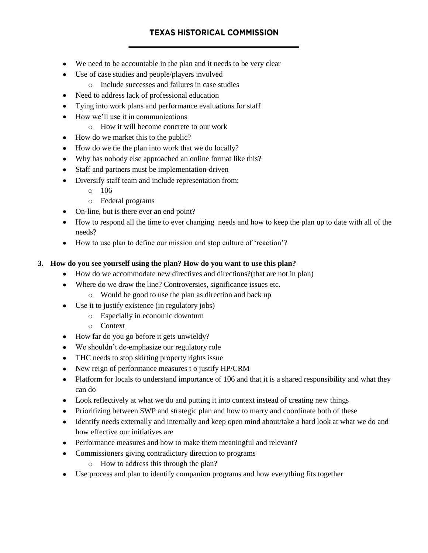# **TEXAS HISTORICAL COMMISSION**

- We need to be accountable in the plan and it needs to be very clear
- Use of case studies and people/players involved
	- o Include successes and failures in case studies
- Need to address lack of professional education
- Tying into work plans and performance evaluations for staff  $\bullet$
- How we'll use it in communications
	- o How it will become concrete to our work
- How do we market this to the public?
- How do we tie the plan into work that we do locally?
- Why has nobody else approached an online format like this?
- Staff and partners must be implementation-driven
- Diversify staff team and include representation from:
	- o 106
	- o Federal programs
- On-line, but is there ever an end point?
- How to respond all the time to ever changing needs and how to keep the plan up to date with all of the needs?
- How to use plan to define our mission and stop culture of 'reaction'?

### **3. How do you see yourself using the plan? How do you want to use this plan?**

- How do we accommodate new directives and directions?(that are not in plan)  $\bullet$
- Where do we draw the line? Controversies, significance issues etc.
	- o Would be good to use the plan as direction and back up
- Use it to justify existence (in regulatory jobs)
	- o Especially in economic downturn
	- o Context
- How far do you go before it gets unwieldy?
- We shouldn't de-emphasize our regulatory role
- THC needs to stop skirting property rights issue
- New reign of performance measures t o justify HP/CRM
- Platform for locals to understand importance of 106 and that it is a shared responsibility and what they can do
- Look reflectively at what we do and putting it into context instead of creating new things
- Prioritizing between SWP and strategic plan and how to marry and coordinate both of these
- Identify needs externally and internally and keep open mind about/take a hard look at what we do and how effective our initiatives are
- Performance measures and how to make them meaningful and relevant?
- Commissioners giving contradictory direction to programs
	- o How to address this through the plan?
- Use process and plan to identify companion programs and how everything fits together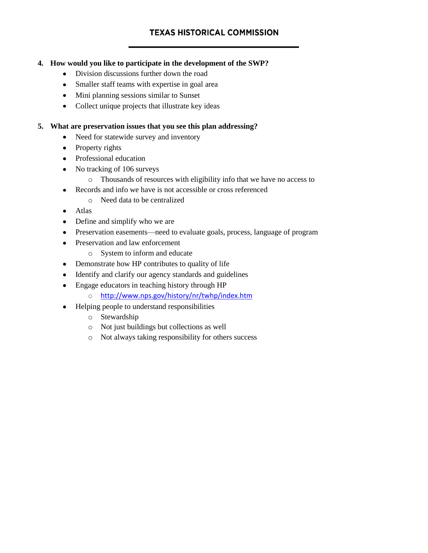## **4. How would you like to participate in the development of the SWP?**

- Division discussions further down the road
- Smaller staff teams with expertise in goal area
- Mini planning sessions similar to Sunset
- Collect unique projects that illustrate key ideas

### **5. What are preservation issues that you see this plan addressing?**

- Need for statewide survey and inventory
- Property rights
- Professional education
- No tracking of 106 surveys
	- o Thousands of resources with eligibility info that we have no access to
- Records and info we have is not accessible or cross referenced  $\bullet$ 
	- o Need data to be centralized
- Atlas
- Define and simplify who we are
- Preservation easements—need to evaluate goals, process, language of program
- Preservation and law enforcement
	- o System to inform and educate
- Demonstrate how HP contributes to quality of life
- Identify and clarify our agency standards and guidelines  $\bullet$
- Engage educators in teaching history through HP  $\bullet$ 
	- o <http://www.nps.gov/history/nr/twhp/index.htm>
- Helping people to understand responsibilities
	- o Stewardship
	- o Not just buildings but collections as well
	- o Not always taking responsibility for others success